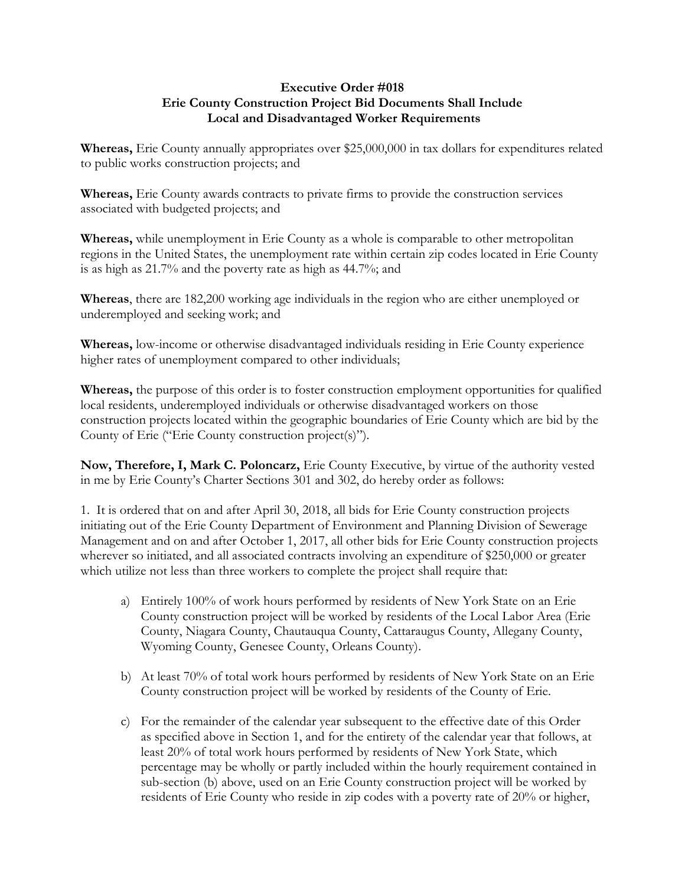## **Executive Order #018 Erie County Construction Project Bid Documents Shall Include Local and Disadvantaged Worker Requirements**

**Whereas,** Erie County annually appropriates over \$25,000,000 in tax dollars for expenditures related to public works construction projects; and

**Whereas,** Erie County awards contracts to private firms to provide the construction services associated with budgeted projects; and

**Whereas,** while unemployment in Erie County as a whole is comparable to other metropolitan regions in the United States, the unemployment rate within certain zip codes located in Erie County is as high as 21.7% and the poverty rate as high as 44.7%; and

**Whereas**, there are 182,200 working age individuals in the region who are either unemployed or underemployed and seeking work; and

**Whereas,** low-income or otherwise disadvantaged individuals residing in Erie County experience higher rates of unemployment compared to other individuals;

**Whereas,** the purpose of this order is to foster construction employment opportunities for qualified local residents, underemployed individuals or otherwise disadvantaged workers on those construction projects located within the geographic boundaries of Erie County which are bid by the County of Erie ("Erie County construction project(s)").

**Now, Therefore, I, Mark C. Poloncarz,** Erie County Executive, by virtue of the authority vested in me by Erie County's Charter Sections 301 and 302, do hereby order as follows:

1. It is ordered that on and after April 30, 2018, all bids for Erie County construction projects initiating out of the Erie County Department of Environment and Planning Division of Sewerage Management and on and after October 1, 2017, all other bids for Erie County construction projects wherever so initiated, and all associated contracts involving an expenditure of \$250,000 or greater which utilize not less than three workers to complete the project shall require that:

- a) Entirely 100% of work hours performed by residents of New York State on an Erie County construction project will be worked by residents of the Local Labor Area (Erie County, Niagara County, Chautauqua County, Cattaraugus County, Allegany County, Wyoming County, Genesee County, Orleans County).
- b) At least 70% of total work hours performed by residents of New York State on an Erie County construction project will be worked by residents of the County of Erie.
- c) For the remainder of the calendar year subsequent to the effective date of this Order as specified above in Section 1, and for the entirety of the calendar year that follows, at least 20% of total work hours performed by residents of New York State, which percentage may be wholly or partly included within the hourly requirement contained in sub-section (b) above, used on an Erie County construction project will be worked by residents of Erie County who reside in zip codes with a poverty rate of 20% or higher,